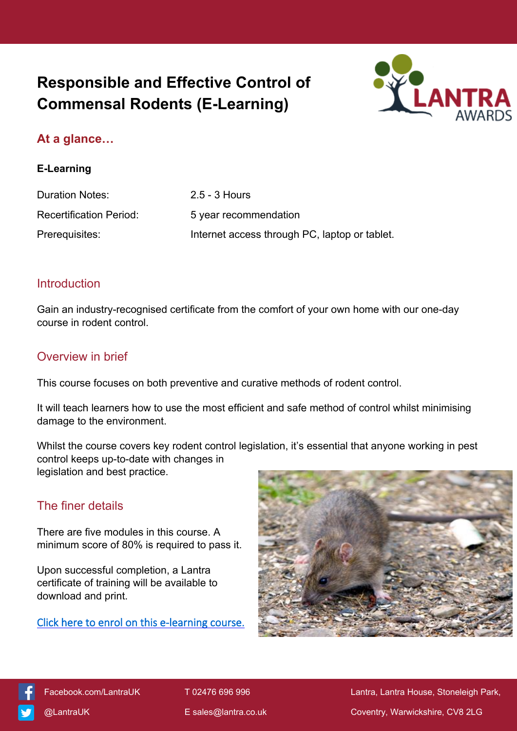# **Responsible and Effective Control of Commensal Rodents (E-Learning)**



## **At a glance…**

#### **E-Learning**

| Duration Notes:                | $2.5 - 3$ Hours                               |
|--------------------------------|-----------------------------------------------|
| <b>Recertification Period:</b> | 5 year recommendation                         |
| Prerequisites:                 | Internet access through PC, laptop or tablet. |

#### **Introduction**

Gain an industry-recognised certificate from the comfort of your own home with our one-day course in rodent control.

#### Overview in brief

This course focuses on both preventive and curative methods of rodent control.

It will teach learners how to use the most efficient and safe method of control whilst minimising damage to the environment.

Whilst the course covers key rodent control legislation, it's essential that anyone working in pest control keeps up-to-date with changes in legislation and best practice.

### The finer details

There are five modules in this course. A minimum score of 80% is required to pass it.

Upon successful completion, a Lantra certificate of training will be available to download and print.

**[Click here to enrol on this e-learning course.](https://elearning.lantra.co.uk/search/14)**





[Facebook.com/LantraUK](https://www.facebook.com/LantraUK/) T 02476 696 996 Lantra, Lantra, Lantra House, Stoneleigh Park, [@LantraUK](http://www.twitter.com/lantrauk) E [sales@lantra.co.uk](mailto:sales@lantra.co.uk) Coventry, Warwickshire, CV8 2LG